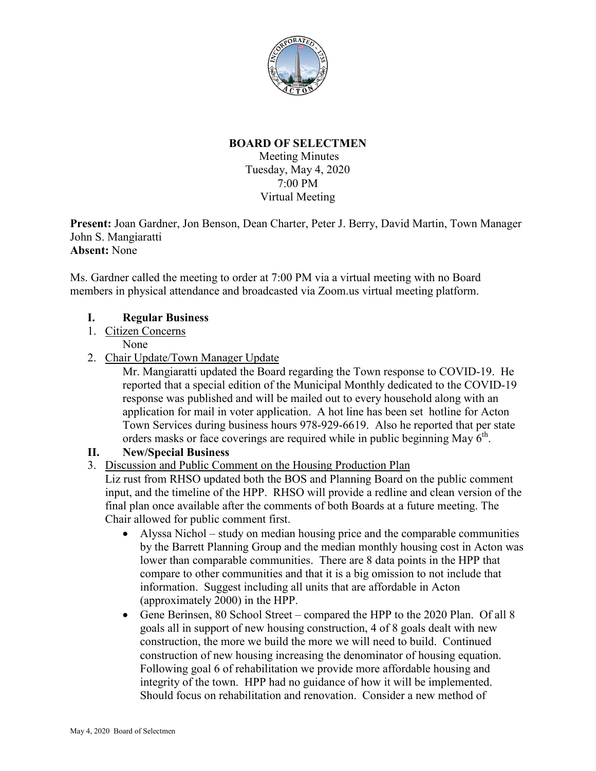

# **BOARD OF SELECTMEN**

Meeting Minutes Tuesday, May 4, 2020 7:00 PM Virtual Meeting

**Present:** Joan Gardner, Jon Benson, Dean Charter, Peter J. Berry, David Martin, Town Manager John S. Mangiaratti **Absent:** None

Ms. Gardner called the meeting to order at 7:00 PM via a virtual meeting with no Board members in physical attendance and broadcasted via Zoom.us virtual meeting platform.

# **I. Regular Business**

1. Citizen Concerns

None

2. Chair Update/Town Manager Update

Mr. Mangiaratti updated the Board regarding the Town response to COVID-19. He reported that a special edition of the Municipal Monthly dedicated to the COVID-19 response was published and will be mailed out to every household along with an application for mail in voter application. A hot line has been set hotline for Acton Town Services during business hours 978-929-6619. Also he reported that per state orders masks or face coverings are required while in public beginning May  $6<sup>th</sup>$ .

### **II. New/Special Business**

3. Discussion and Public Comment on the Housing Production Plan

Liz rust from RHSO updated both the BOS and Planning Board on the public comment input, and the timeline of the HPP. RHSO will provide a redline and clean version of the final plan once available after the comments of both Boards at a future meeting. The Chair allowed for public comment first.

- Alyssa Nichol study on median housing price and the comparable communities by the Barrett Planning Group and the median monthly housing cost in Acton was lower than comparable communities. There are 8 data points in the HPP that compare to other communities and that it is a big omission to not include that information. Suggest including all units that are affordable in Acton (approximately 2000) in the HPP.
- Gene Berinsen, 80 School Street compared the HPP to the 2020 Plan. Of all 8 goals all in support of new housing construction, 4 of 8 goals dealt with new construction, the more we build the more we will need to build. Continued construction of new housing increasing the denominator of housing equation. Following goal 6 of rehabilitation we provide more affordable housing and integrity of the town. HPP had no guidance of how it will be implemented. Should focus on rehabilitation and renovation. Consider a new method of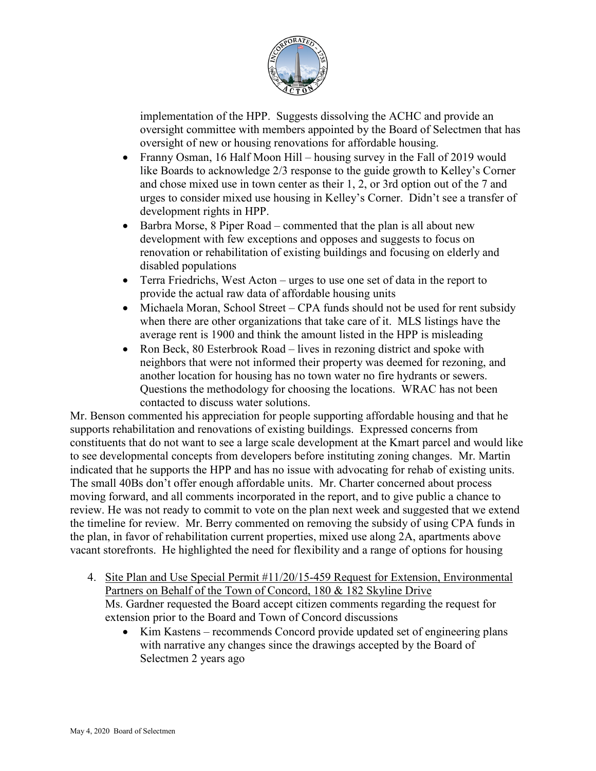

implementation of the HPP. Suggests dissolving the ACHC and provide an oversight committee with members appointed by the Board of Selectmen that has oversight of new or housing renovations for affordable housing.

- Franny Osman, 16 Half Moon Hill housing survey in the Fall of 2019 would like Boards to acknowledge 2/3 response to the guide growth to Kelley's Corner and chose mixed use in town center as their 1, 2, or 3rd option out of the 7 and urges to consider mixed use housing in Kelley's Corner. Didn't see a transfer of development rights in HPP.
- Barbra Morse, 8 Piper Road commented that the plan is all about new development with few exceptions and opposes and suggests to focus on renovation or rehabilitation of existing buildings and focusing on elderly and disabled populations
- Terra Friedrichs, West Acton urges to use one set of data in the report to provide the actual raw data of affordable housing units
- Michaela Moran, School Street CPA funds should not be used for rent subsidy when there are other organizations that take care of it. MLS listings have the average rent is 1900 and think the amount listed in the HPP is misleading
- Ron Beck, 80 Esterbrook Road lives in rezoning district and spoke with neighbors that were not informed their property was deemed for rezoning, and another location for housing has no town water no fire hydrants or sewers. Questions the methodology for choosing the locations. WRAC has not been contacted to discuss water solutions.

Mr. Benson commented his appreciation for people supporting affordable housing and that he supports rehabilitation and renovations of existing buildings. Expressed concerns from constituents that do not want to see a large scale development at the Kmart parcel and would like to see developmental concepts from developers before instituting zoning changes. Mr. Martin indicated that he supports the HPP and has no issue with advocating for rehab of existing units. The small 40Bs don't offer enough affordable units. Mr. Charter concerned about process moving forward, and all comments incorporated in the report, and to give public a chance to review. He was not ready to commit to vote on the plan next week and suggested that we extend the timeline for review. Mr. Berry commented on removing the subsidy of using CPA funds in the plan, in favor of rehabilitation current properties, mixed use along 2A, apartments above vacant storefronts. He highlighted the need for flexibility and a range of options for housing

- 4. Site Plan and Use Special Permit #11/20/15-459 Request for Extension, Environmental Partners on Behalf of the Town of Concord, 180 & 182 Skyline Drive Ms. Gardner requested the Board accept citizen comments regarding the request for extension prior to the Board and Town of Concord discussions
	- Kim Kastens recommends Concord provide updated set of engineering plans with narrative any changes since the drawings accepted by the Board of Selectmen 2 years ago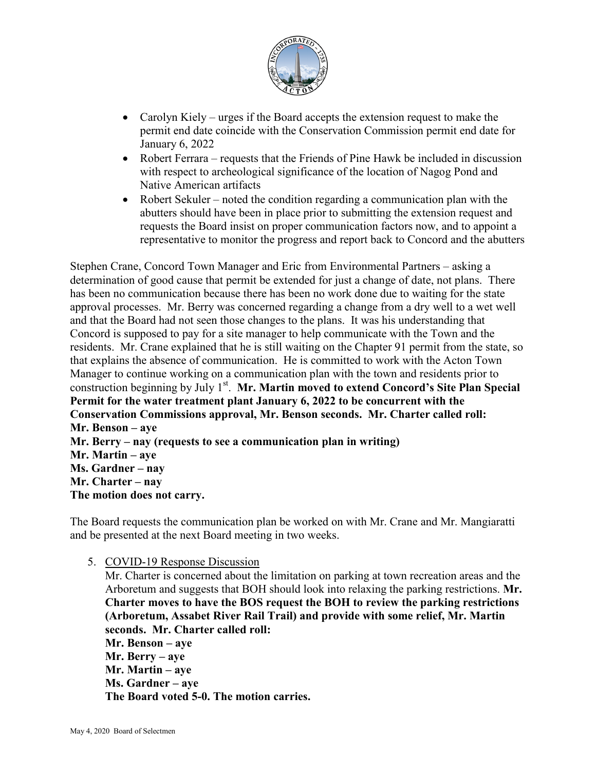

- Carolyn Kiely urges if the Board accepts the extension request to make the permit end date coincide with the Conservation Commission permit end date for January 6, 2022
- Robert Ferrara requests that the Friends of Pine Hawk be included in discussion with respect to archeological significance of the location of Nagog Pond and Native American artifacts
- Robert Sekuler noted the condition regarding a communication plan with the abutters should have been in place prior to submitting the extension request and requests the Board insist on proper communication factors now, and to appoint a representative to monitor the progress and report back to Concord and the abutters

Stephen Crane, Concord Town Manager and Eric from Environmental Partners – asking a determination of good cause that permit be extended for just a change of date, not plans. There has been no communication because there has been no work done due to waiting for the state approval processes. Mr. Berry was concerned regarding a change from a dry well to a wet well and that the Board had not seen those changes to the plans. It was his understanding that Concord is supposed to pay for a site manager to help communicate with the Town and the residents. Mr. Crane explained that he is still waiting on the Chapter 91 permit from the state, so that explains the absence of communication. He is committed to work with the Acton Town Manager to continue working on a communication plan with the town and residents prior to construction beginning by July 1<sup>st</sup>. Mr. Martin moved to extend Concord's Site Plan Special **Permit for the water treatment plant January 6, 2022 to be concurrent with the Conservation Commissions approval, Mr. Benson seconds. Mr. Charter called roll: Mr. Benson – aye Mr. Berry – nay (requests to see a communication plan in writing) Mr. Martin – aye Ms. Gardner – nay Mr. Charter – nay The motion does not carry.** 

The Board requests the communication plan be worked on with Mr. Crane and Mr. Mangiaratti and be presented at the next Board meeting in two weeks.

5. COVID-19 Response Discussion

Mr. Charter is concerned about the limitation on parking at town recreation areas and the Arboretum and suggests that BOH should look into relaxing the parking restrictions. **Mr. Charter moves to have the BOS request the BOH to review the parking restrictions (Arboretum, Assabet River Rail Trail) and provide with some relief, Mr. Martin seconds. Mr. Charter called roll: Mr. Benson – aye Mr. Berry – aye Mr. Martin – aye Ms. Gardner – aye The Board voted 5-0. The motion carries.**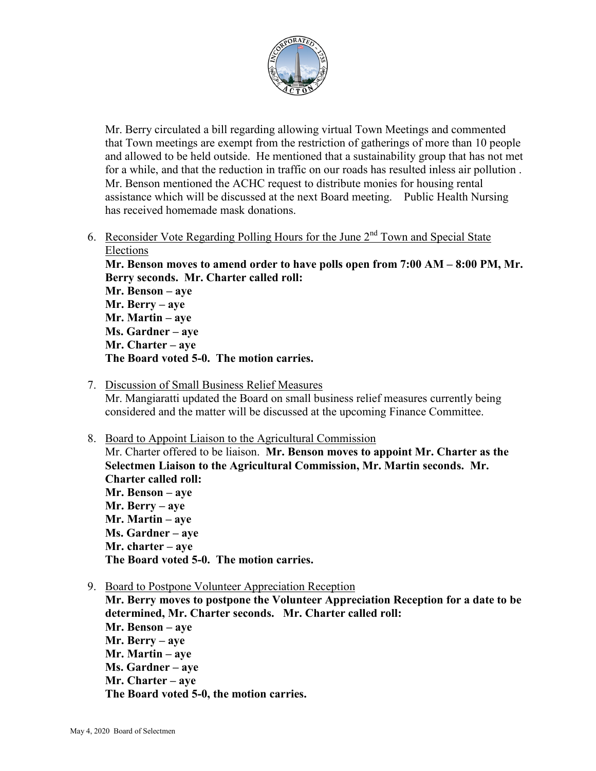

Mr. Berry circulated a bill regarding allowing virtual Town Meetings and commented that Town meetings are exempt from the restriction of gatherings of more than 10 people and allowed to be held outside. He mentioned that a sustainability group that has not met for a while, and that the reduction in traffic on our roads has resulted inless air pollution . Mr. Benson mentioned the ACHC request to distribute monies for housing rental assistance which will be discussed at the next Board meeting. Public Health Nursing has received homemade mask donations.

6. Reconsider Vote Regarding Polling Hours for the June  $2<sup>nd</sup>$  Town and Special State Elections

**Mr. Benson moves to amend order to have polls open from 7:00 AM – 8:00 PM, Mr. Berry seconds. Mr. Charter called roll:**

**Mr. Benson – aye Mr. Berry – aye Mr. Martin – aye Ms. Gardner – aye Mr. Charter – aye The Board voted 5-0. The motion carries.**

- 7. Discussion of Small Business Relief Measures Mr. Mangiaratti updated the Board on small business relief measures currently being considered and the matter will be discussed at the upcoming Finance Committee.
- 8. Board to Appoint Liaison to the Agricultural Commission Mr. Charter offered to be liaison. **Mr. Benson moves to appoint Mr. Charter as the Selectmen Liaison to the Agricultural Commission, Mr. Martin seconds. Mr. Charter called roll: Mr. Benson – aye Mr. Berry – aye Mr. Martin – aye Ms. Gardner – aye Mr. charter – aye The Board voted 5-0. The motion carries.**
- 9. Board to Postpone Volunteer Appreciation Reception

**Mr. Berry moves to postpone the Volunteer Appreciation Reception for a date to be determined, Mr. Charter seconds. Mr. Charter called roll: Mr. Benson – aye Mr. Berry – aye Mr. Martin – aye Ms. Gardner – aye Mr. Charter – aye The Board voted 5-0, the motion carries.**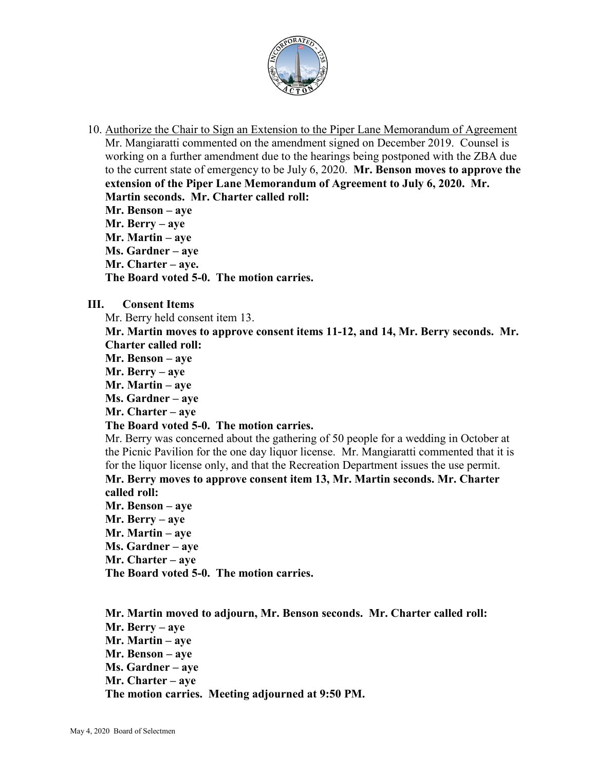

10. Authorize the Chair to Sign an Extension to the Piper Lane Memorandum of Agreement Mr. Mangiaratti commented on the amendment signed on December 2019. Counsel is working on a further amendment due to the hearings being postponed with the ZBA due to the current state of emergency to be July 6, 2020. **Mr. Benson moves to approve the extension of the Piper Lane Memorandum of Agreement to July 6, 2020. Mr. Martin seconds. Mr. Charter called roll: Mr. Benson – aye Mr. Berry – aye** 

**Mr. Martin – aye Ms. Gardner – aye Mr. Charter – aye.**

**The Board voted 5-0. The motion carries.**

**III. Consent Items**

Mr. Berry held consent item 13.

**Mr. Martin moves to approve consent items 11-12, and 14, Mr. Berry seconds. Mr. Charter called roll:**

- **Mr. Benson aye**
- **Mr. Berry aye**
- **Mr. Martin aye**
- **Ms. Gardner aye**
- **Mr. Charter aye**

#### **The Board voted 5-0. The motion carries.**

Mr. Berry was concerned about the gathering of 50 people for a wedding in October at the Picnic Pavilion for the one day liquor license. Mr. Mangiaratti commented that it is for the liquor license only, and that the Recreation Department issues the use permit. **Mr. Berry moves to approve consent item 13, Mr. Martin seconds. Mr. Charter called roll:**

**Mr. Benson – aye Mr. Berry – aye Mr. Martin – aye Ms. Gardner – aye Mr. Charter – aye The Board voted 5-0. The motion carries.**

**Mr. Martin moved to adjourn, Mr. Benson seconds. Mr. Charter called roll: Mr. Berry – aye Mr. Martin – aye Mr. Benson – aye Ms. Gardner – aye Mr. Charter – aye The motion carries. Meeting adjourned at 9:50 PM.**